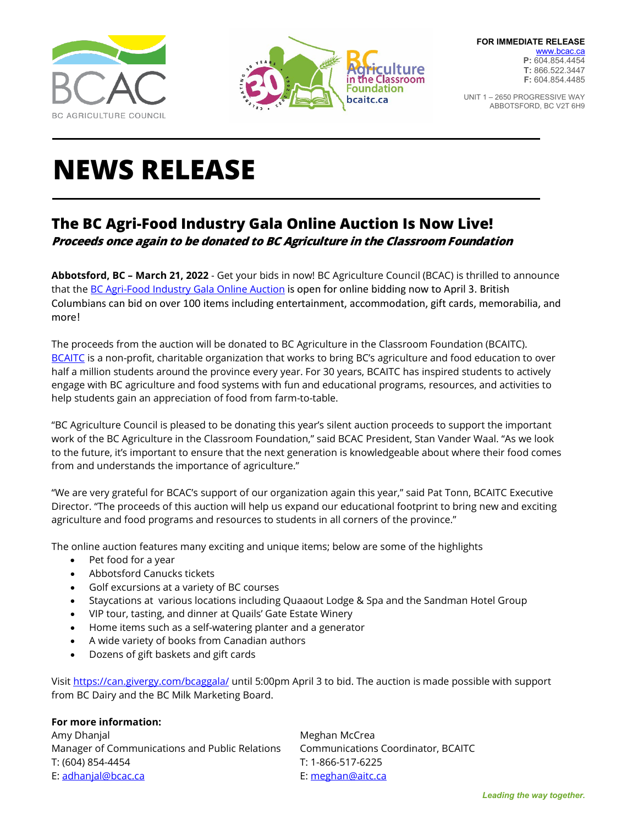



UNIT 1 – 2650 PROGRESSIVE WAY ABBOTSFORD, BC V2T 6H9

## **NEWS RELEASE**

## **The BC Agri-Food Industry Gala Online Auction Is Now Live! Proceeds once again to be donated to BC Agriculture in the Classroom Foundation**

**Abbotsford, BC – March 21, 2022** - Get your bids in now! BC Agriculture Council (BCAC) is thrilled to announce that the [BC Agri-Food Industry Gala Online Auction](https://can.givergy.com/bcaggala/) is open for online bidding now to April 3. British Columbians can bid on over 100 items including entertainment, accommodation, gift cards, memorabilia, and more!

The proceeds from the auction will be donated to BC Agriculture in the Classroom Foundation (BCAITC). [BCAITC](https://bcac.ca/wp-content/uploads/2021/01/BCAITC-general_video-F_COMPRESSED.mp4) is a non-profit, charitable organization that works to bring BC's agriculture and food education to over half a million students around the province every year. For 30 years, BCAITC has inspired students to actively engage with BC agriculture and food systems with fun and educational programs, resources, and activities to help students gain an appreciation of food from farm-to-table.

"BC Agriculture Council is pleased to be donating this year's silent auction proceeds to support the important work of the BC Agriculture in the Classroom Foundation," said BCAC President, Stan Vander Waal. "As we look to the future, it's important to ensure that the next generation is knowledgeable about where their food comes from and understands the importance of agriculture."

"We are very grateful for BCAC's support of our organization again this year," said Pat Tonn, BCAITC Executive Director. "The proceeds of this auction will help us expand our educational footprint to bring new and exciting agriculture and food programs and resources to students in all corners of the province."

The online auction features many exciting and unique items; below are some of the highlights

- Pet food for a year
- Abbotsford Canucks tickets
- Golf excursions at a variety of BC courses
- Staycations at various locations including Quaaout Lodge & Spa and the Sandman Hotel Group
- VIP tour, tasting, and dinner at Quails' Gate Estate Winery
- Home items such as a self-watering planter and a generator
- A wide variety of books from Canadian authors
- Dozens of gift baskets and gift cards

Visit<https://can.givergy.com/bcaggala/> until 5:00pm April 3 to bid. The auction is made possible with support from BC Dairy and the BC Milk Marketing Board.

## **For more information:**

Amy Dhanjal Manus and the Meghan McCrea Manager of Communications and Public Relations Communications Coordinator, BCAITC T: (604) 854-4454 T: 1-866-517-6225 E: adhanjal@bcac.ca E: [meghan@aitc.ca](mailto:meghan@aitc.ca)